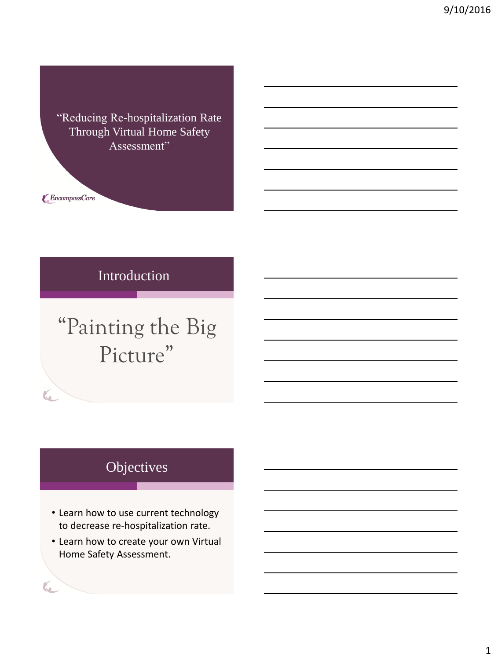"Reducing Re-hospitalization Rate Through Virtual Home Safety Assessment"



 $\epsilon$  EncompassCare

 $\mathbf C$ 

 $\mathbf C$ 

#### Introduction

# "Painting the Big Picture"

#### **Objectives**

- Learn how to use current technology to decrease re-hospitalization rate.
- Learn how to create your own Virtual Home Safety Assessment.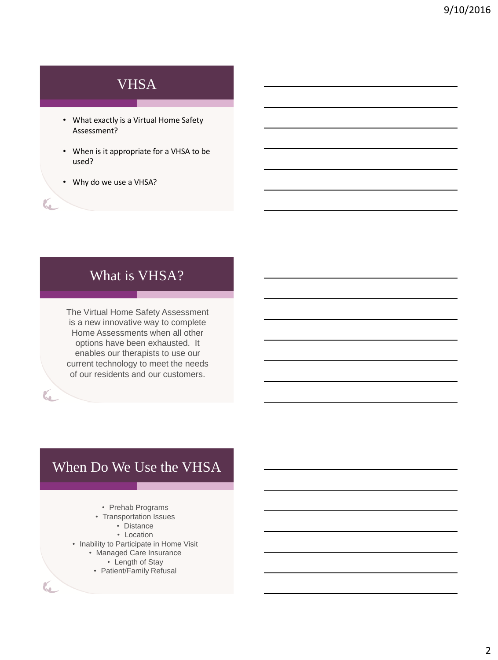#### VHSA

- What exactly is a Virtual Home Safety Assessment?
- When is it appropriate for a VHSA to be used?
- Why do we use a VHSA?

C

 $\mathbf C$ 

 $\epsilon$ 

#### What is VHSA?

The Virtual Home Safety Assessment is a new innovative way to complete Home Assessments when all other options have been exhausted. It enables our therapists to use our current technology to meet the needs of our residents and our customers.

#### When Do We Use the VHSA

- Prehab Programs
- Transportation Issues
	- Distance
	- Location
- Inability to Participate in Home Visit
	- Managed Care Insurance
		- Length of Stay
		- Patient/Family Refusal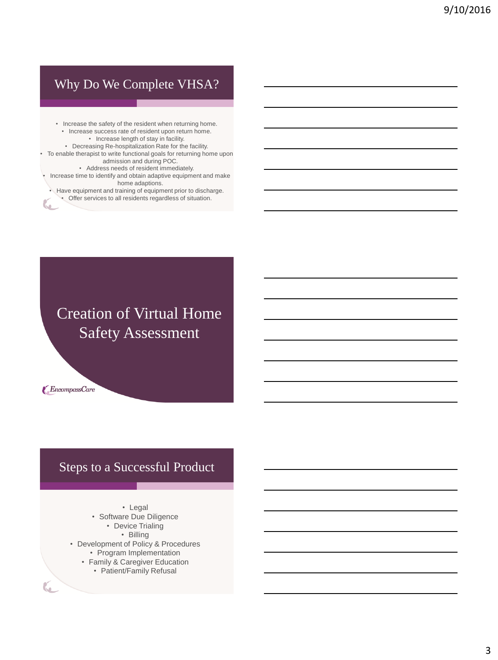#### Why Do We Complete VHSA?

- Increase the safety of the resident when returning home. • Increase success rate of resident upon return home. • Increase length of stay in facility.
	- Decreasing Re-hospitalization Rate for the facility.
- To enable therapist to write functional goals for returning home upon admission and during POC.
	- Address needs of resident immediately.
- Increase time to identify and obtain adaptive equipment and make home adaptions.
	- Have equipment and training of equipment prior to discharge.
		- Offer services to all residents regardless of situation.

#### Creation of Virtual Home Safety Assessment



 $\mathbf C$ 

 $\overline{\mathbf{C}}$ 

#### Steps to a Successful Product

- Legal
- Software Due Diligence
	- Device Trialing
		- Billing
- Development of Policy & Procedures
	- Program Implementation
	- Family & Caregiver Education
		- Patient/Family Refusal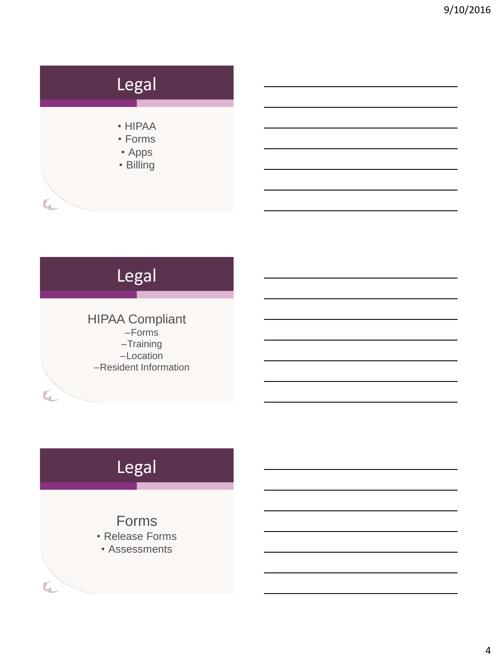# Legal • HIPAA • Forms • Apps • Billing

## Legal HIPAA Compliant –Forms –Training –Location

 $\mathbf C$ 

 $\epsilon$ 

 $\epsilon$ 

# **Legal**

–Resident Information

#### Forms

- Release Forms
- Assessments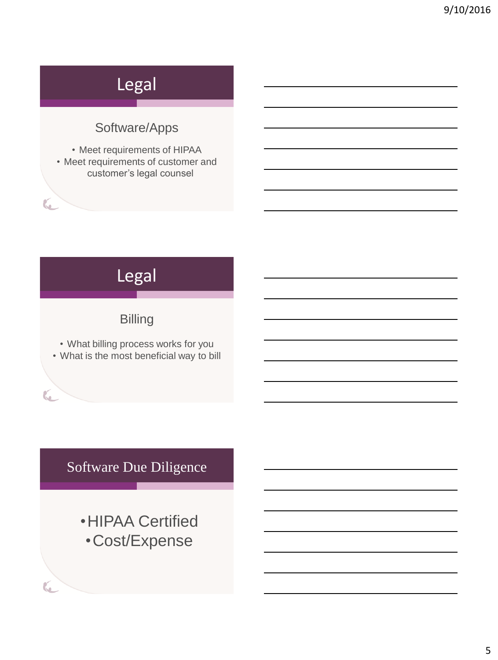# Legal

#### Software/Apps

• Meet requirements of HIPAA • Meet requirements of customer and customer's legal counsel

C

 $\mathbf C$ 

 $\epsilon$ 

## Legal

#### Billing

• What billing process works for you • What is the most beneficial way to bill

### Software Due Diligence

•HIPAA Certified •Cost/Expense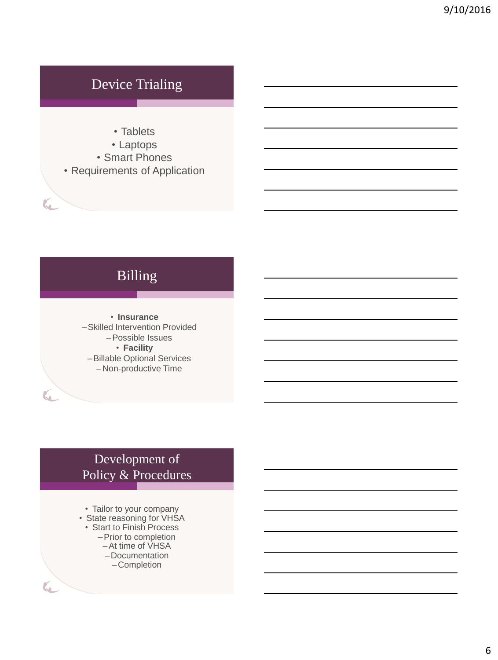#### Device Trialing

- Tablets
- Laptops
- Smart Phones
- Requirements of Application

 $\mathbf C$ 

 $\epsilon$ 

 $\mathbf C$ 

### Billing

• **Insurance** –Skilled Intervention Provided –Possible Issues • **Facility** –Billable Optional Services –Non-productive Time

#### Development of Policy & Procedures

- Tailor to your company
- State reasoning for VHSA • Start to Finish Process
	- –Prior to completion
	- –At time of VHSA
	- –Documentation
		- –Completion